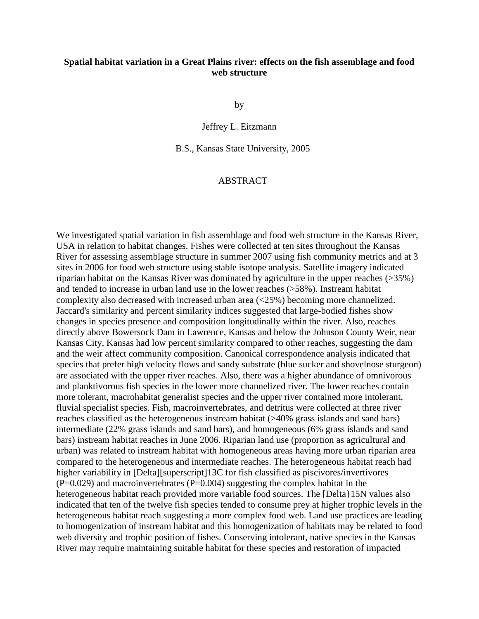## **Spatial habitat variation in a Great Plains river: effects on the fish assemblage and food web structure**

by

Jeffrey L. Eitzmann

B.S., Kansas State University, 2005

## ABSTRACT

We investigated spatial variation in fish assemblage and food web structure in the Kansas River, USA in relation to habitat changes. Fishes were collected at ten sites throughout the Kansas River for assessing assemblage structure in summer 2007 using fish community metrics and at 3 sites in 2006 for food web structure using stable isotope analysis. Satellite imagery indicated riparian habitat on the Kansas River was dominated by agriculture in the upper reaches (>35%) and tended to increase in urban land use in the lower reaches (>58%). Instream habitat complexity also decreased with increased urban area (<25%) becoming more channelized. Jaccard's similarity and percent similarity indices suggested that large-bodied fishes show changes in species presence and composition longitudinally within the river. Also, reaches directly above Bowersock Dam in Lawrence, Kansas and below the Johnson County Weir, near Kansas City, Kansas had low percent similarity compared to other reaches, suggesting the dam and the weir affect community composition. Canonical correspondence analysis indicated that species that prefer high velocity flows and sandy substrate (blue sucker and shovelnose sturgeon) are associated with the upper river reaches. Also, there was a higher abundance of omnivorous and planktivorous fish species in the lower more channelized river. The lower reaches contain more tolerant, macrohabitat generalist species and the upper river contained more intolerant, fluvial specialist species. Fish, macroinvertebrates, and detritus were collected at three river reaches classified as the heterogeneous instream habitat (>40% grass islands and sand bars) intermediate (22% grass islands and sand bars), and homogeneous (6% grass islands and sand bars) instream habitat reaches in June 2006. Riparian land use (proportion as agricultural and urban) was related to instream habitat with homogeneous areas having more urban riparian area compared to the heterogeneous and intermediate reaches. The heterogeneous habitat reach had higher variability in [Delta][superscript]13C for fish classified as piscivores/invertivores  $(P=0.029)$  and macroinvertebrates  $(P=0.004)$  suggesting the complex habitat in the heterogeneous habitat reach provided more variable food sources. The [Delta}15N values also indicated that ten of the twelve fish species tended to consume prey at higher trophic levels in the heterogeneous habitat reach suggesting a more complex food web. Land use practices are leading to homogenization of instream habitat and this homogenization of habitats may be related to food web diversity and trophic position of fishes. Conserving intolerant, native species in the Kansas River may require maintaining suitable habitat for these species and restoration of impacted